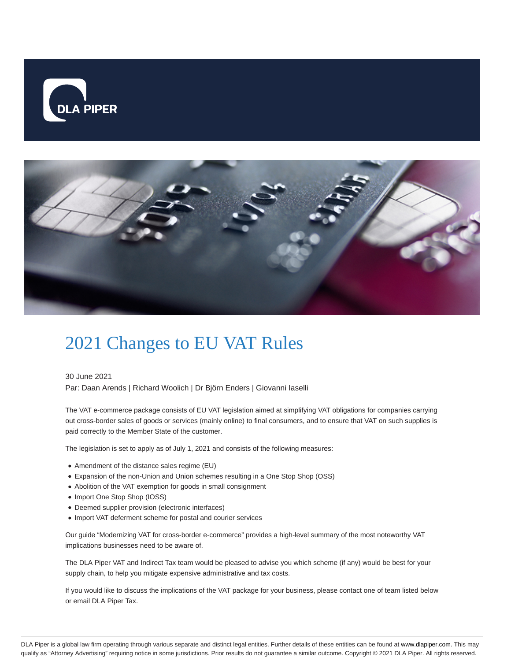



## 2021 Changes to EU VAT Rules

30 June 2021 Par: Daan Arends | Richard Woolich | Dr Björn Enders | Giovanni Iaselli

The VAT e-commerce package consists of EU VAT legislation aimed at simplifying VAT obligations for companies carrying out cross-border sales of goods or services (mainly online) to final consumers, and to ensure that VAT on such supplies is paid correctly to the Member State of the customer.

The legislation is set to apply as of July 1, 2021 and consists of the following measures:

- Amendment of the distance sales regime (EU)
- Expansion of the non-Union and Union schemes resulting in a One Stop Shop (OSS)
- Abolition of the VAT exemption for goods in small consignment
- Import One Stop Shop (IOSS)
- Deemed supplier provision (electronic interfaces)
- Import VAT deferment scheme for postal and courier services

Our guide "Modernizing VAT for cross-border e-commerce" provides a high-level summary of the most noteworthy VAT implications businesses need to be aware of.

The DLA Piper VAT and Indirect Tax team would be pleased to advise you which scheme (if any) would be best for your supply chain, to help you mitigate expensive administrative and tax costs.

If you would like to discuss the implications of the VAT package for your business, please contact one of team listed below or email DLA Piper Tax.